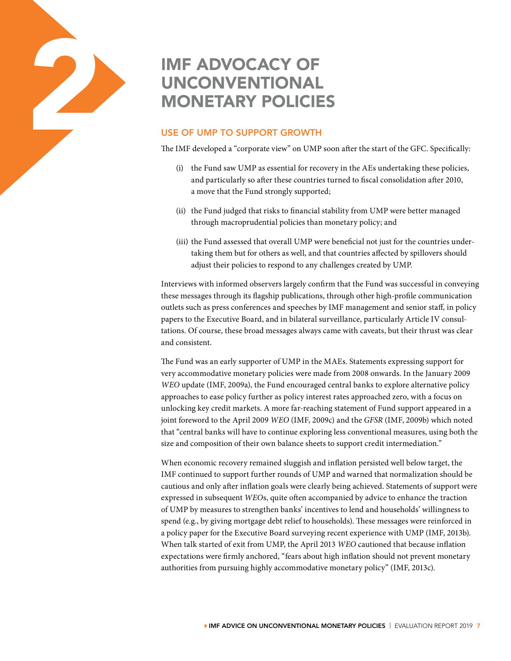# IMF ADVOCACY OF UNCONVENTIONAL

# USE OF UMP TO SUPPORT GROWTH

The IMF developed a "corporate view" on UMP soon after the start of the GFC. Specifically:

- (i) the Fund saw UMP as essential for recovery in the AEs undertaking these policies, and particularly so after these countries turned to fiscal consolidation after 2010, a move that the Fund strongly supported;
- (ii) the Fund judged that risks to financial stability from UMP were better managed through macroprudential policies than monetary policy; and
- (iii) the Fund assessed that overall UMP were beneficial not just for the countries undertaking them but for others as well, and that countries affected by spillovers should adjust their policies to respond to any challenges created by UMP.

Interviews with informed observers largely confirm that the Fund was successful in conveying these messages through its flagship publications, through other high-profile communication outlets such as press conferences and speeches by IMF management and senior staff, in policy papers to the Executive Board, and in bilateral surveillance, particularly Article IV consultations. Of course, these broad messages always came with caveats, but their thrust was clear and consistent.

The Fund was an early supporter of UMP in the MAEs. Statements expressing support for very accommodative monetary policies were made from 2008 onwards. In the January 2009 *WEO* update (IMF, 2009a), the Fund encouraged central banks to explore alternative policy approaches to ease policy further as policy interest rates approached zero, with a focus on unlocking key credit markets. A more far-reaching statement of Fund support appeared in a joint foreword to the April 2009 *WEO* (IMF, 2009c) and the *GFSR* (IMF, 2009b) which noted that "central banks will have to continue exploring less conventional measures, using both the size and composition of their own balance sheets to support credit intermediation."

When economic recovery remained sluggish and inflation persisted well below target, the IMF continued to support further rounds of UMP and warned that normalization should be cautious and only after inflation goals were clearly being achieved. Statements of support were expressed in subsequent *WEO*s, quite often accompanied by advice to enhance the traction of UMP by measures to strengthen banks' incentives to lend and households' willingness to spend (e.g., by giving mortgage debt relief to households). These messages were reinforced in a policy paper for the Executive Board surveying recent experience with UMP (IMF, 2013b). When talk started of exit from UMP, the April 2013 *WEO* cautioned that because inflation expectations were firmly anchored, "fears about high inflation should not prevent monetary authorities from pursuing highly accommodative monetary policy" (IMF, 2013c).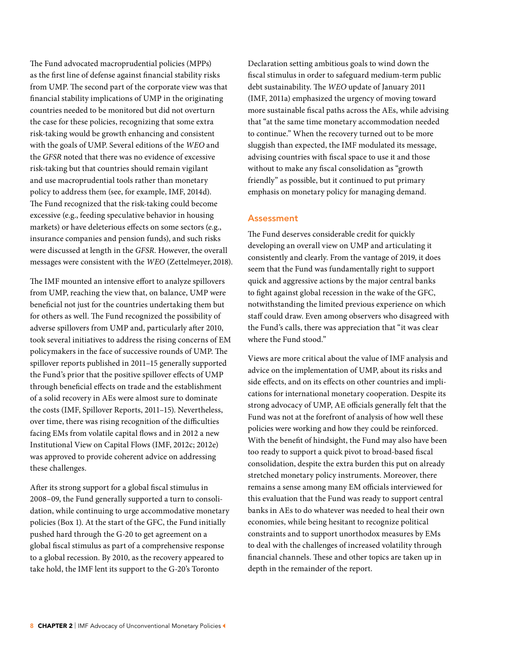The Fund advocated macroprudential policies (MPPs) as the first line of defense against financial stability risks from UMP. The second part of the corporate view was that financial stability implications of UMP in the originating countries needed to be monitored but did not overturn the case for these policies, recognizing that some extra risk-taking would be growth enhancing and consistent with the goals of UMP. Several editions of the *WEO* and the *GFSR* noted that there was no evidence of excessive risk-taking but that countries should remain vigilant and use macroprudential tools rather than monetary policy to address them (see, for example, IMF, 2014d). The Fund recognized that the risk-taking could become excessive (e.g., feeding speculative behavior in housing markets) or have deleterious effects on some sectors (e.g., insurance companies and pension funds), and such risks were discussed at length in the *GFSR*. However, the overall messages were consistent with the *WEO* (Zettelmeyer, 2018).

The IMF mounted an intensive effort to analyze spillovers from UMP, reaching the view that, on balance, UMP were beneficial not just for the countries undertaking them but for others as well. The Fund recognized the possibility of adverse spillovers from UMP and, particularly after 2010, took several initiatives to address the rising concerns of EM policymakers in the face of successive rounds of UMP. The spillover reports published in 2011–15 generally supported the Fund's prior that the positive spillover effects of UMP through beneficial effects on trade and the establishment of a solid recovery in AEs were almost sure to dominate the costs (IMF, Spillover Reports, 2011–15). Nevertheless, over time, there was rising recognition of the difficulties facing EMs from volatile capital flows and in 2012 a new Institutional View on Capital Flows (IMF, 2012c; 2012e) was approved to provide coherent advice on addressing these challenges.

After its strong support for a global fiscal stimulus in 2008–09, the Fund generally supported a turn to consolidation, while continuing to urge accommodative monetary policies (Box 1). At the start of the GFC, the Fund initially pushed hard through the G-20 to get agreement on a global fiscal stimulus as part of a comprehensive response to a global recession. By 2010, as the recovery appeared to take hold, the IMF lent its support to the G-20's Toronto

Declaration setting ambitious goals to wind down the fiscal stimulus in order to safeguard medium-term public debt sustainability. The *WEO* update of January 2011 (IMF, 2011a) emphasized the urgency of moving toward more sustainable fiscal paths across the AEs, while advising that "at the same time monetary accommodation needed to continue." When the recovery turned out to be more sluggish than expected, the IMF modulated its message, advising countries with fiscal space to use it and those without to make any fiscal consolidation as "growth friendly" as possible, but it continued to put primary emphasis on monetary policy for managing demand.

### Assessment

The Fund deserves considerable credit for quickly developing an overall view on UMP and articulating it consistently and clearly. From the vantage of 2019, it does seem that the Fund was fundamentally right to support quick and aggressive actions by the major central banks to fight against global recession in the wake of the GFC, notwithstanding the limited previous experience on which staff could draw. Even among observers who disagreed with the Fund's calls, there was appreciation that "it was clear where the Fund stood."

Views are more critical about the value of IMF analysis and advice on the implementation of UMP, about its risks and side effects, and on its effects on other countries and implications for international monetary cooperation. Despite its strong advocacy of UMP, AE officials generally felt that the Fund was not at the forefront of analysis of how well these policies were working and how they could be reinforced. With the benefit of hindsight, the Fund may also have been too ready to support a quick pivot to broad-based fiscal consolidation, despite the extra burden this put on already stretched monetary policy instruments. Moreover, there remains a sense among many EM officials interviewed for this evaluation that the Fund was ready to support central banks in AEs to do whatever was needed to heal their own economies, while being hesitant to recognize political constraints and to support unorthodox measures by EMs to deal with the challenges of increased volatility through financial channels. These and other topics are taken up in depth in the remainder of the report.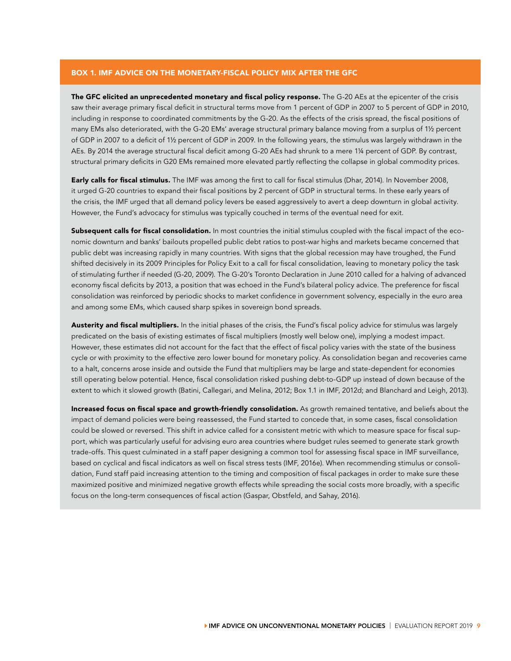#### BOX 1. IMF ADVICE ON THE MONETARY-FISCAL POLICY MIX AFTER THE GFC

The GFC elicited an unprecedented monetary and fiscal policy response. The G-20 AEs at the epicenter of the crisis saw their average primary fiscal deficit in structural terms move from 1 percent of GDP in 2007 to 5 percent of GDP in 2010, including in response to coordinated commitments by the G-20. As the effects of the crisis spread, the fiscal positions of many EMs also deteriorated, with the G-20 EMs' average structural primary balance moving from a surplus of 1½ percent of GDP in 2007 to a deficit of 1½ percent of GDP in 2009. In the following years, the stimulus was largely withdrawn in the AEs. By 2014 the average structural fiscal deficit among G-20 AEs had shrunk to a mere 1¼ percent of GDP. By contrast, structural primary deficits in G20 EMs remained more elevated partly reflecting the collapse in global commodity prices.

Early calls for fiscal stimulus. The IMF was among the first to call for fiscal stimulus (Dhar, 2014). In November 2008, it urged G-20 countries to expand their fiscal positions by 2 percent of GDP in structural terms. In these early years of the crisis, the IMF urged that all demand policy levers be eased aggressively to avert a deep downturn in global activity. However, the Fund's advocacy for stimulus was typically couched in terms of the eventual need for exit.

Subsequent calls for fiscal consolidation. In most countries the initial stimulus coupled with the fiscal impact of the economic downturn and banks' bailouts propelled public debt ratios to post-war highs and markets became concerned that public debt was increasing rapidly in many countries. With signs that the global recession may have troughed, the Fund shifted decisively in its 2009 Principles for Policy Exit to a call for fiscal consolidation, leaving to monetary policy the task of stimulating further if needed (G-20, 2009). The G-20's Toronto Declaration in June 2010 called for a halving of advanced economy fiscal deficits by 2013, a position that was echoed in the Fund's bilateral policy advice. The preference for fiscal consolidation was reinforced by periodic shocks to market confidence in government solvency, especially in the euro area and among some EMs, which caused sharp spikes in sovereign bond spreads.

Austerity and fiscal multipliers. In the initial phases of the crisis, the Fund's fiscal policy advice for stimulus was largely predicated on the basis of existing estimates of fiscal multipliers (mostly well below one), implying a modest impact. However, these estimates did not account for the fact that the effect of fiscal policy varies with the state of the business cycle or with proximity to the effective zero lower bound for monetary policy. As consolidation began and recoveries came to a halt, concerns arose inside and outside the Fund that multipliers may be large and state-dependent for economies still operating below potential. Hence, fiscal consolidation risked pushing debt-to-GDP up instead of down because of the extent to which it slowed growth (Batini, Callegari, and Melina, 2012; Box 1.1 in IMF, 2012d; and Blanchard and Leigh, 2013).

Increased focus on fiscal space and growth-friendly consolidation. As growth remained tentative, and beliefs about the impact of demand policies were being reassessed, the Fund started to concede that, in some cases, fiscal consolidation could be slowed or reversed. This shift in advice called for a consistent metric with which to measure space for fiscal support, which was particularly useful for advising euro area countries where budget rules seemed to generate stark growth trade-offs. This quest culminated in a staff paper designing a common tool for assessing fiscal space in IMF surveillance, based on cyclical and fiscal indicators as well on fiscal stress tests (IMF, 2016e). When recommending stimulus or consolidation, Fund staff paid increasing attention to the timing and composition of fiscal packages in order to make sure these maximized positive and minimized negative growth effects while spreading the social costs more broadly, with a specific focus on the long-term consequences of fiscal action (Gaspar, Obstfeld, and Sahay, 2016).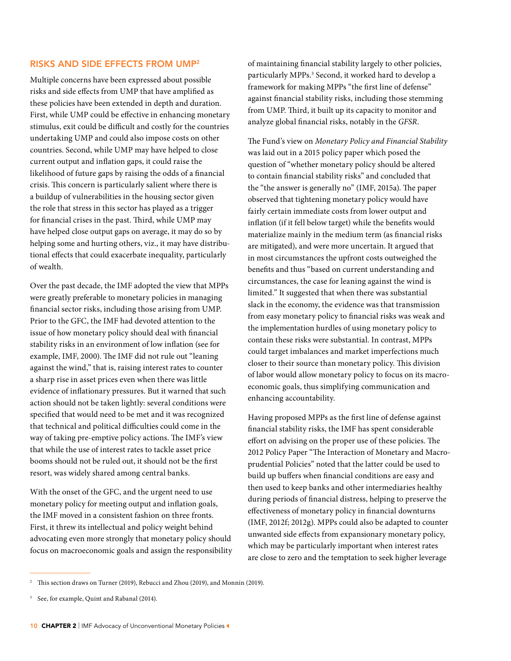## RISKS AND SIDE EFFECTS FROM UMP2

Multiple concerns have been expressed about possible risks and side effects from UMP that have amplified as these policies have been extended in depth and duration. First, while UMP could be effective in enhancing monetary stimulus, exit could be difficult and costly for the countries undertaking UMP and could also impose costs on other countries. Second, while UMP may have helped to close current output and inflation gaps, it could raise the likelihood of future gaps by raising the odds of a financial crisis. This concern is particularly salient where there is a buildup of vulnerabilities in the housing sector given the role that stress in this sector has played as a trigger for financial crises in the past. Third, while UMP may have helped close output gaps on average, it may do so by helping some and hurting others, viz., it may have distributional effects that could exacerbate inequality, particularly of wealth.

Over the past decade, the IMF adopted the view that MPPs were greatly preferable to monetary policies in managing financial sector risks, including those arising from UMP. Prior to the GFC, the IMF had devoted attention to the issue of how monetary policy should deal with financial stability risks in an environment of low inflation (see for example, IMF, 2000). The IMF did not rule out "leaning against the wind," that is, raising interest rates to counter a sharp rise in asset prices even when there was little evidence of inflationary pressures. But it warned that such action should not be taken lightly: several conditions were specified that would need to be met and it was recognized that technical and political difficulties could come in the way of taking pre-emptive policy actions. The IMF's view that while the use of interest rates to tackle asset price booms should not be ruled out, it should not be the first resort, was widely shared among central banks.

With the onset of the GFC, and the urgent need to use monetary policy for meeting output and inflation goals, the IMF moved in a consistent fashion on three fronts. First, it threw its intellectual and policy weight behind advocating even more strongly that monetary policy should focus on macroeconomic goals and assign the responsibility of maintaining financial stability largely to other policies, particularly MPPs.3 Second, it worked hard to develop a framework for making MPPs "the first line of defense" against financial stability risks, including those stemming from UMP. Third, it built up its capacity to monitor and analyze global financial risks, notably in the *GFSR*.

The Fund's view on *Monetary Policy and Financial Stability* was laid out in a 2015 policy paper which posed the question of "whether monetary policy should be altered to contain financial stability risks" and concluded that the "the answer is generally no" (IMF, 2015a). The paper observed that tightening monetary policy would have fairly certain immediate costs from lower output and inflation (if it fell below target) while the benefits would materialize mainly in the medium term (as financial risks are mitigated), and were more uncertain. It argued that in most circumstances the upfront costs outweighed the benefits and thus "based on current understanding and circumstances, the case for leaning against the wind is limited." It suggested that when there was substantial slack in the economy, the evidence was that transmission from easy monetary policy to financial risks was weak and the implementation hurdles of using monetary policy to contain these risks were substantial. In contrast, MPPs could target imbalances and market imperfections much closer to their source than monetary policy. This division of labor would allow monetary policy to focus on its macroeconomic goals, thus simplifying communication and enhancing accountability.

Having proposed MPPs as the first line of defense against financial stability risks, the IMF has spent considerable effort on advising on the proper use of these policies. The 2012 Policy Paper "The Interaction of Monetary and Macroprudential Policies" noted that the latter could be used to build up buffers when financial conditions are easy and then used to keep banks and other intermediaries healthy during periods of financial distress, helping to preserve the effectiveness of monetary policy in financial downturns (IMF, 2012f; 2012g). MPPs could also be adapted to counter unwanted side effects from expansionary monetary policy, which may be particularly important when interest rates are close to zero and the temptation to seek higher leverage

<sup>&</sup>lt;sup>2</sup> This section draws on Turner (2019), Rebucci and Zhou (2019), and Monnin (2019).

<sup>&</sup>lt;sup>3</sup> See, for example, Quint and Rabanal (2014).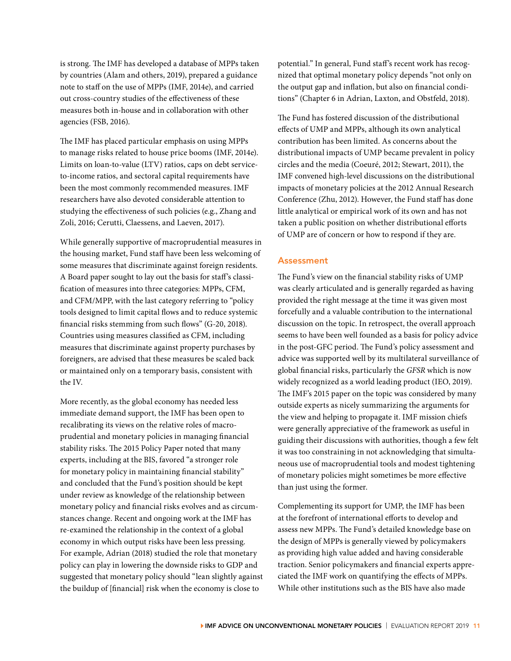is strong. The IMF has developed a database of MPPs taken by countries (Alam and others, 2019), prepared a guidance note to staff on the use of MPPs (IMF, 2014e), and carried out cross-country studies of the effectiveness of these measures both in-house and in collaboration with other agencies (FSB, 2016).

The IMF has placed particular emphasis on using MPPs to manage risks related to house price booms (IMF, 2014e). Limits on loan-to-value (LTV) ratios, caps on debt serviceto-income ratios, and sectoral capital requirements have been the most commonly recommended measures. IMF researchers have also devoted considerable attention to studying the effectiveness of such policies (e.g., Zhang and Zoli, 2016; Cerutti, Claessens, and Laeven, 2017).

While generally supportive of macroprudential measures in the housing market, Fund staff have been less welcoming of some measures that discriminate against foreign residents. A Board paper sought to lay out the basis for staff's classification of measures into three categories: MPPs, CFM, and CFM/MPP, with the last category referring to "policy tools designed to limit capital flows and to reduce systemic financial risks stemming from such flows" (G-20, 2018). Countries using measures classified as CFM, including measures that discriminate against property purchases by foreigners, are advised that these measures be scaled back or maintained only on a temporary basis, consistent with the IV.

More recently, as the global economy has needed less immediate demand support, the IMF has been open to recalibrating its views on the relative roles of macroprudential and monetary policies in managing financial stability risks. The 2015 Policy Paper noted that many experts, including at the BIS, favored "a stronger role for monetary policy in maintaining financial stability" and concluded that the Fund's position should be kept under review as knowledge of the relationship between monetary policy and financial risks evolves and as circumstances change. Recent and ongoing work at the IMF has re-examined the relationship in the context of a global economy in which output risks have been less pressing. For example, Adrian (2018) studied the role that monetary policy can play in lowering the downside risks to GDP and suggested that monetary policy should "lean slightly against the buildup of [financial] risk when the economy is close to

potential." In general, Fund staff's recent work has recognized that optimal monetary policy depends "not only on the output gap and inflation, but also on financial conditions" (Chapter 6 in Adrian, Laxton, and Obstfeld, 2018).

The Fund has fostered discussion of the distributional effects of UMP and MPPs, although its own analytical contribution has been limited. As concerns about the distributional impacts of UMP became prevalent in policy circles and the media (Coeuré, 2012; Stewart, 2011), the IMF convened high-level discussions on the distributional impacts of monetary policies at the 2012 Annual Research Conference (Zhu, 2012). However, the Fund staff has done little analytical or empirical work of its own and has not taken a public position on whether distributional efforts of UMP are of concern or how to respond if they are.

## Assessment

The Fund's view on the financial stability risks of UMP was clearly articulated and is generally regarded as having provided the right message at the time it was given most forcefully and a valuable contribution to the international discussion on the topic. In retrospect, the overall approach seems to have been well founded as a basis for policy advice in the post-GFC period. The Fund's policy assessment and advice was supported well by its multilateral surveillance of global financial risks, particularly the *GFSR* which is now widely recognized as a world leading product (IEO, 2019). The IMF's 2015 paper on the topic was considered by many outside experts as nicely summarizing the arguments for the view and helping to propagate it. IMF mission chiefs were generally appreciative of the framework as useful in guiding their discussions with authorities, though a few felt it was too constraining in not acknowledging that simultaneous use of macroprudential tools and modest tightening of monetary policies might sometimes be more effective than just using the former.

Complementing its support for UMP, the IMF has been at the forefront of international efforts to develop and assess new MPPs. The Fund's detailed knowledge base on the design of MPPs is generally viewed by policymakers as providing high value added and having considerable traction. Senior policymakers and financial experts appreciated the IMF work on quantifying the effects of MPPs. While other institutions such as the BIS have also made